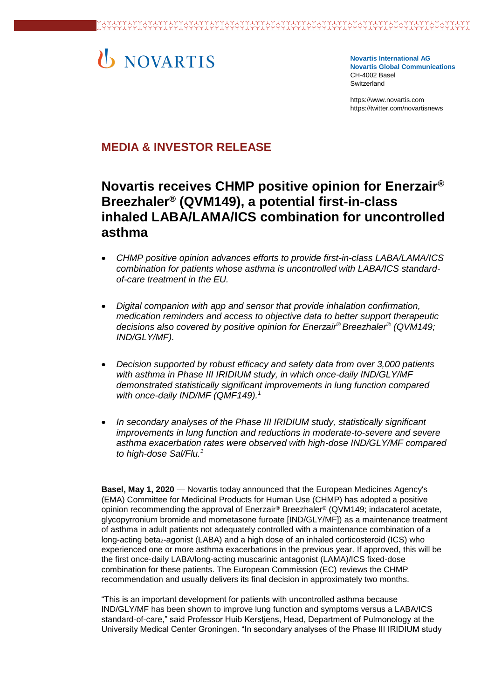# U NOVARTIS

**Novartis International AG Novartis Global Communications**  CH-4002 Basel Switzerland

[https://www.novartis.com](https://www.novartis.com/) https://twitter.com/novartisnews

# **MEDIA & INVESTOR RELEASE**

# **Novartis receives CHMP positive opinion for Enerzair® Breezhaler® (QVM149), a potential first-in-class inhaled LABA/LAMA/ICS combination for uncontrolled asthma**

- *CHMP positive opinion advances efforts to provide first-in-class LABA/LAMA/ICS combination for patients whose asthma is uncontrolled with LABA/ICS standardof-care treatment in the EU.*
- *Digital companion with app and sensor that provide inhalation confirmation, medication reminders and access to objective data to better support therapeutic decisions also covered by positive opinion for Enerzair® Breezhaler® (QVM149; IND/GLY/MF).*
- *Decision supported by robust efficacy and safety data from over 3,000 patients with asthma in Phase III IRIDIUM study, in which once-daily IND/GLY/MF demonstrated statistically significant improvements in lung function compared with once-daily IND/MF (QMF149).<sup>1</sup>*
- *In secondary analyses of the Phase III IRIDIUM study, statistically significant improvements in lung function and reductions in moderate-to-severe and severe asthma exacerbation rates were observed with high-dose IND/GLY/MF compared to high-dose Sal/Flu.<sup>1</sup>*

**Basel, May 1, 2020** — Novartis today announced that the European Medicines Agency's (EMA) Committee for Medicinal Products for Human Use (CHMP) has adopted a positive opinion recommending the approval of Enerzair® Breezhaler® (QVM149; indacaterol acetate, glycopyrronium bromide and mometasone furoate [IND/GLY/MF]) as a maintenance treatment of asthma in adult patients not adequately controlled with a maintenance combination of a long-acting beta<sub>2</sub>-agonist (LABA) and a high dose of an inhaled corticosteroid (ICS) who experienced one or more asthma exacerbations in the previous year. If approved, this will be the first once-daily LABA/long-acting muscarinic antagonist (LAMA)/ICS fixed-dose combination for these patients. The European Commission (EC) reviews the CHMP recommendation and usually delivers its final decision in approximately two months.

"This is an important development for patients with uncontrolled asthma because IND/GLY/MF has been shown to improve lung function and symptoms versus a LABA/ICS standard-of-care," said Professor Huib Kerstjens, Head, Department of Pulmonology at the University Medical Center Groningen. "In secondary analyses of the Phase III IRIDIUM study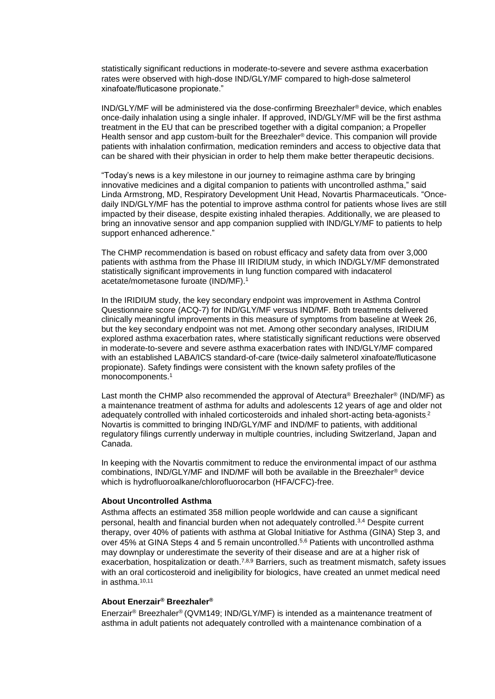statistically significant reductions in moderate-to-severe and severe asthma exacerbation rates were observed with high-dose IND/GLY/MF compared to high-dose salmeterol xinafoate/fluticasone propionate."

IND/GLY/MF will be administered via the dose-confirming Breezhaler® device, which enables once-daily inhalation using a single inhaler. If approved, IND/GLY/MF will be the first asthma treatment in the EU that can be prescribed together with a digital companion; a Propeller Health sensor and app custom-built for the Breezhaler<sup>®</sup> device. This companion will provide patients with inhalation confirmation, medication reminders and access to objective data that can be shared with their physician in order to help them make better therapeutic decisions.

"Today's news is a key milestone in our journey to reimagine asthma care by bringing innovative medicines and a digital companion to patients with uncontrolled asthma," said Linda Armstrong, MD, Respiratory Development Unit Head, Novartis Pharmaceuticals. "Oncedaily IND/GLY/MF has the potential to improve asthma control for patients whose lives are still impacted by their disease, despite existing inhaled therapies. Additionally, we are pleased to bring an innovative sensor and app companion supplied with IND/GLY/MF to patients to help support enhanced adherence."

The CHMP recommendation is based on robust efficacy and safety data from over 3,000 patients with asthma from the Phase III IRIDIUM study, in which IND/GLY/MF demonstrated statistically significant improvements in lung function compared with indacaterol acetate/mometasone furoate (IND/MF).<sup>1</sup>

In the IRIDIUM study, the key secondary endpoint was improvement in Asthma Control Questionnaire score (ACQ-7) for IND/GLY/MF versus IND/MF. Both treatments delivered clinically meaningful improvements in this measure of symptoms from baseline at Week 26, but the key secondary endpoint was not met. Among other secondary analyses, IRIDIUM explored asthma exacerbation rates, where statistically significant reductions were observed in moderate-to-severe and severe asthma exacerbation rates with IND/GLY/MF compared with an established LABA/ICS standard-of-care (twice-daily salmeterol xinafoate/fluticasone propionate). Safety findings were consistent with the known safety profiles of the monocomponents.<sup>1</sup>

Last month the CHMP also recommended the approval of Atectura<sup>®</sup> Breezhaler<sup>®</sup> (IND/MF) as a maintenance treatment of asthma for adults and adolescents 12 years of age and older not adequately controlled with inhaled corticosteroids and inhaled short-acting beta-agonists.<sup>2</sup> Novartis is committed to bringing IND/GLY/MF and IND/MF to patients, with additional regulatory filings currently underway in multiple countries, including Switzerland, Japan and Canada.

In keeping with the Novartis commitment to reduce the environmental impact of our asthma combinations, IND/GLY/MF and IND/MF will both be available in the Breezhaler® device which is hydrofluoroalkane/chlorofluorocarbon (HFA/CFC)-free.

#### **About Uncontrolled Asthma**

Asthma affects an estimated 358 million people worldwide and can cause a significant personal, health and financial burden when not adequately controlled.3,4 Despite current therapy, over 40% of patients with asthma at Global Initiative for Asthma (GINA) Step 3, and over 45% at GINA Steps 4 and 5 remain uncontrolled.5,6 Patients with uncontrolled asthma may downplay or underestimate the severity of their disease and are at a higher risk of exacerbation, hospitalization or death.<sup>7,8,9</sup> Barriers, such as treatment mismatch, safety issues with an oral corticosteroid and ineligibility for biologics, have created an unmet medical need in asthma.10,11

## **About Enerzair® Breezhaler®**

Enerzair® Breezhaler® (QVM149; IND/GLY/MF) is intended as a maintenance treatment of asthma in adult patients not adequately controlled with a maintenance combination of a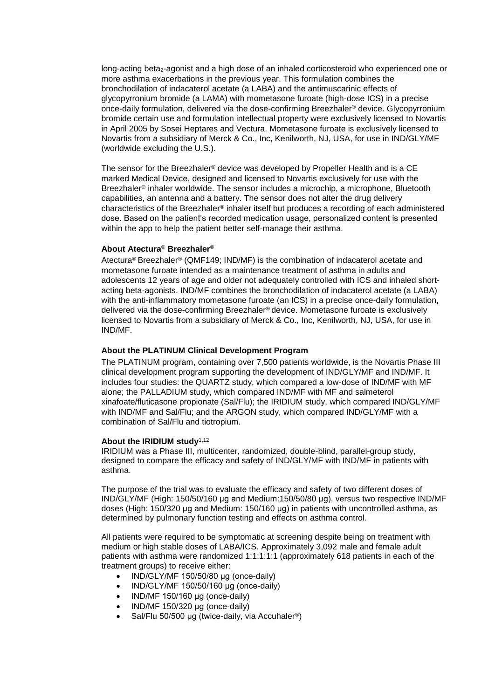long-acting beta<sub>2</sub>-agonist and a high dose of an inhaled corticosteroid who experienced one or more asthma exacerbations in the previous year. This formulation combines the bronchodilation of indacaterol acetate (a LABA) and the antimuscarinic effects of glycopyrronium bromide (a LAMA) with mometasone furoate (high-dose ICS) in a precise once-daily formulation, delivered via the dose-confirming Breezhaler® device. Glycopyrronium bromide certain use and formulation intellectual property were exclusively licensed to Novartis in April 2005 by Sosei Heptares and Vectura. Mometasone furoate is exclusively licensed to Novartis from a subsidiary of Merck & Co., Inc, Kenilworth, NJ, USA, for use in IND/GLY/MF (worldwide excluding the U.S.).

The sensor for the Breezhaler® device was developed by Propeller Health and is a CE marked Medical Device, designed and licensed to Novartis exclusively for use with the Breezhaler® inhaler worldwide. The sensor includes a microchip, a microphone, Bluetooth capabilities, an antenna and a battery. The sensor does not alter the drug delivery characteristics of the Breezhaler® inhaler itself but produces a recording of each administered dose. Based on the patient's recorded medication usage, personalized content is presented within the app to help the patient better self-manage their asthma.

# **About Atectura**® **Breezhaler**®

Atectura® Breezhaler® (QMF149; IND/MF) is the combination of indacaterol acetate and mometasone furoate intended as a maintenance treatment of asthma in adults and adolescents 12 years of age and older not adequately controlled with ICS and inhaled shortacting beta-agonists. IND/MF combines the bronchodilation of indacaterol acetate (a LABA) with the anti-inflammatory mometasone furoate (an ICS) in a precise once-daily formulation, delivered via the dose-confirming Breezhaler® device. Mometasone furoate is exclusively licensed to Novartis from a subsidiary of Merck & Co., Inc, Kenilworth, NJ, USA, for use in IND/MF.

## **About the PLATINUM Clinical Development Program**

The PLATINUM program, containing over 7,500 patients worldwide, is the Novartis Phase III clinical development program supporting the development of IND/GLY/MF and IND/MF. It includes four studies: the QUARTZ study, which compared a low-dose of IND/MF with MF alone; the PALLADIUM study, which compared IND/MF with MF and salmeterol xinafoate/fluticasone propionate (Sal/Flu); the IRIDIUM study, which compared IND/GLY/MF with IND/MF and Sal/Flu; and the ARGON study, which compared IND/GLY/MF with a combination of Sal/Flu and tiotropium.

#### **About the IRIDIUM study**1,12

IRIDIUM was a Phase III, multicenter, randomized, double-blind, parallel-group study, designed to compare the efficacy and safety of IND/GLY/MF with IND/MF in patients with asthma.

The purpose of the trial was to evaluate the efficacy and safety of two different doses of IND/GLY/MF (High: 150/50/160 μg and Medium:150/50/80 μg), versus two respective IND/MF doses (High: 150/320 μg and Medium: 150/160 μg) in patients with uncontrolled asthma, as determined by pulmonary function testing and effects on asthma control.

All patients were required to be symptomatic at screening despite being on treatment with medium or high stable doses of LABA/ICS. Approximately 3,092 male and female adult patients with asthma were randomized 1:1:1:1:1 (approximately 618 patients in each of the treatment groups) to receive either:

- IND/GLY/MF 150/50/80 μg (once-daily)
- IND/GLY/MF 150/50/160 μg (once-daily)
- IND/MF 150/160 μg (once-daily)
- $\bullet$  IND/MF 150/320 μg (once-daily)
- Sal/Flu 50/500 μg (twice-daily, via Accuhaler®)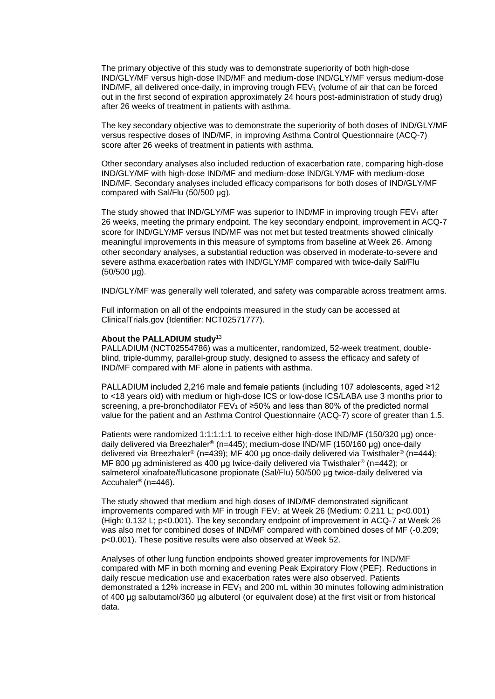The primary objective of this study was to demonstrate superiority of both high-dose IND/GLY/MF versus high-dose IND/MF and medium-dose IND/GLY/MF versus medium-dose  $IND/MF$ , all delivered once-daily, in improving trough  $FEV<sub>1</sub>$  (volume of air that can be forced out in the first second of expiration approximately 24 hours post-administration of study drug) after 26 weeks of treatment in patients with asthma.

The key secondary objective was to demonstrate the superiority of both doses of IND/GLY/MF versus respective doses of IND/MF, in improving Asthma Control Questionnaire (ACQ-7) score after 26 weeks of treatment in patients with asthma.

Other secondary analyses also included reduction of exacerbation rate, comparing high-dose IND/GLY/MF with high-dose IND/MF and medium-dose IND/GLY/MF with medium-dose IND/MF. Secondary analyses included efficacy comparisons for both doses of IND/GLY/MF compared with Sal/Flu (50/500 μg).

The study showed that  $IND/GLY/MF$  was superior to  $IND/MF$  in improving trough  $FEV<sub>1</sub>$  after 26 weeks, meeting the primary endpoint. The key secondary endpoint, improvement in ACQ-7 score for IND/GLY/MF versus IND/MF was not met but tested treatments showed clinically meaningful improvements in this measure of symptoms from baseline at Week 26. Among other secondary analyses, a substantial reduction was observed in moderate-to-severe and severe asthma exacerbation rates with IND/GLY/MF compared with twice-daily Sal/Flu (50/500 µg).

IND/GLY/MF was generally well tolerated, and safety was comparable across treatment arms.

Full information on all of the endpoints measured in the study can be accessed at ClinicalTrials.gov (Identifier: NCT02571777).

#### **About the PALLADIUM study**<sup>13</sup>

PALLADIUM (NCT02554786) was a multicenter, randomized, 52-week treatment, doubleblind, triple-dummy, parallel-group study, designed to assess the efficacy and safety of IND/MF compared with MF alone in patients with asthma.

PALLADIUM included 2,216 male and female patients (including 107 adolescents, aged ≥12 to <18 years old) with medium or high-dose ICS or low-dose ICS/LABA use 3 months prior to screening, a pre-bronchodilator  $FEV_1$  of  $\geq 50\%$  and less than 80% of the predicted normal value for the patient and an Asthma Control Questionnaire (ACQ-7) score of greater than 1.5.

Patients were randomized 1:1:1:1:1 to receive either high-dose IND/MF (150/320 μg) oncedaily delivered via Breezhaler® (n=445); medium-dose IND/MF (150/160 μg) once-daily delivered via Breezhaler® (n=439); MF 400 μg once-daily delivered via Twisthaler® (n=444); MF 800 μg administered as 400 μg twice-daily delivered via Twisthaler® (n=442); or salmeterol xinafoate/fluticasone propionate (Sal/Flu) 50/500 μg twice-daily delivered via Accuhaler® (n=446).

The study showed that medium and high doses of IND/MF demonstrated significant improvements compared with MF in trough  $FEV<sub>1</sub>$  at Week 26 (Medium: 0.211 L; p<0.001) (High: 0.132 L; p<0.001). The key secondary endpoint of improvement in ACQ-7 at Week 26 was also met for combined doses of IND/MF compared with combined doses of MF (-0.209; p<0.001). These positive results were also observed at Week 52.

Analyses of other lung function endpoints showed greater improvements for IND/MF compared with MF in both morning and evening Peak Expiratory Flow (PEF). Reductions in daily rescue medication use and exacerbation rates were also observed. Patients demonstrated a 12% increase in  $FEV<sub>1</sub>$  and 200 mL within 30 minutes following administration of 400 µg salbutamol/360 µg albuterol (or equivalent dose) at the first visit or from historical data.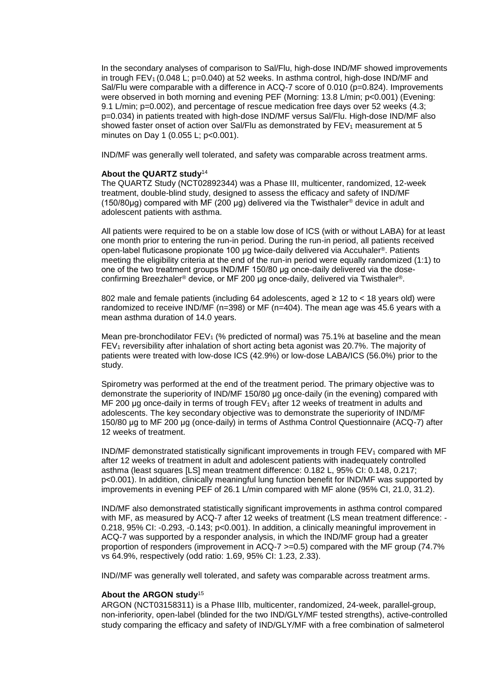In the secondary analyses of comparison to Sal/Flu, high-dose IND/MF showed improvements in trough FEV<sub>1</sub> (0.048 L;  $p=0.040$ ) at 52 weeks. In asthma control, high-dose IND/MF and Sal/Flu were comparable with a difference in ACQ-7 score of 0.010 (p=0.824). Improvements were observed in both morning and evening PEF (Morning: 13.8 L/min; p<0.001) (Evening: 9.1 L/min; p=0.002), and percentage of rescue medication free days over 52 weeks (4.3; p=0.034) in patients treated with high-dose IND/MF versus Sal/Flu. High-dose IND/MF also showed faster onset of action over Sal/Flu as demonstrated by  $FEV<sub>1</sub>$  measurement at 5 minutes on Day 1 (0.055 L; p<0.001).

IND/MF was generally well tolerated, and safety was comparable across treatment arms.

#### **About the QUARTZ study**<sup>14</sup>

The QUARTZ Study (NCT02892344) was a Phase III, multicenter, randomized, 12-week treatment, double-blind study, designed to assess the efficacy and safety of IND/MF (150/80µg) compared with MF (200 µg) delivered via the Twisthaler<sup>®</sup> device in adult and adolescent patients with asthma.

All patients were required to be on a stable low dose of ICS (with or without LABA) for at least one month prior to entering the run-in period. During the run-in period, all patients received open-label fluticasone propionate 100 μg twice-daily delivered via Accuhaler®. Patients meeting the eligibility criteria at the end of the run-in period were equally randomized (1:1) to one of the two treatment groups IND/MF 150/80 μg once-daily delivered via the doseconfirming Breezhaler® device, or MF 200 μg once-daily, delivered via Twisthaler®.

802 male and female patients (including 64 adolescents, aged ≥ 12 to < 18 years old) were randomized to receive IND/MF (n=398) or MF (n=404). The mean age was 45.6 years with a mean asthma duration of 14.0 years.

Mean pre-bronchodilator FEV<sub>1</sub> (% predicted of normal) was 75.1% at baseline and the mean  $FEV<sub>1</sub>$  reversibility after inhalation of short acting beta agonist was 20.7%. The majority of patients were treated with low-dose ICS (42.9%) or low-dose LABA/ICS (56.0%) prior to the study.

Spirometry was performed at the end of the treatment period. The primary objective was to demonstrate the superiority of IND/MF 150/80 μg once-daily (in the evening) compared with MF 200 µg once-daily in terms of trough  $FEV_1$  after 12 weeks of treatment in adults and adolescents. The key secondary objective was to demonstrate the superiority of IND/MF 150/80 μg to MF 200 μg (once-daily) in terms of Asthma Control Questionnaire (ACQ-7) after 12 weeks of treatment.

 $IND/MF$  demonstrated statistically significant improvements in trough  $FEV<sub>1</sub>$  compared with MF after 12 weeks of treatment in adult and adolescent patients with inadequately controlled asthma (least squares [LS] mean treatment difference: 0.182 L, 95% CI: 0.148, 0.217; p<0.001). In addition, clinically meaningful lung function benefit for IND/MF was supported by improvements in evening PEF of 26.1 L/min compared with MF alone (95% CI, 21.0, 31.2).

IND/MF also demonstrated statistically significant improvements in asthma control compared with MF, as measured by ACQ-7 after 12 weeks of treatment (LS mean treatment difference: - 0.218, 95% CI: -0.293, -0.143; p<0.001). In addition, a clinically meaningful improvement in ACQ-7 was supported by a responder analysis, in which the IND/MF group had a greater proportion of responders (improvement in ACQ-7 >=0.5) compared with the MF group (74.7% vs 64.9%, respectively (odd ratio: 1.69, 95% CI: 1.23, 2.33).

IND//MF was generally well tolerated, and safety was comparable across treatment arms.

#### **About the ARGON study**<sup>15</sup>

ARGON (NCT03158311) is a Phase IIIb, multicenter, randomized, 24-week, parallel-group, non-inferiority, open-label (blinded for the two IND/GLY/MF tested strengths), active-controlled study comparing the efficacy and safety of IND/GLY/MF with a free combination of salmeterol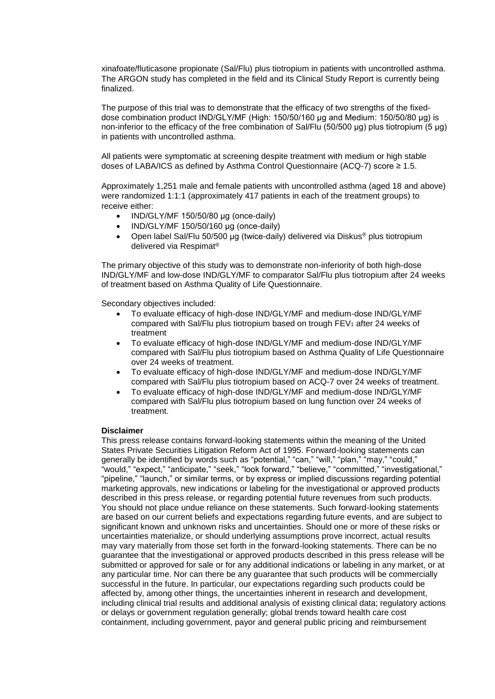xinafoate/fluticasone propionate (Sal/Flu) plus tiotropium in patients with uncontrolled asthma. The ARGON study has completed in the field and its Clinical Study Report is currently being finalized.

The purpose of this trial was to demonstrate that the efficacy of two strengths of the fixeddose combination product IND/GLY/MF (High: 150/50/160 μg and Medium: 150/50/80 μg) is non-inferior to the efficacy of the free combination of Sal/Flu (50/500 μg) plus tiotropium (5 μg) in patients with uncontrolled asthma.

All patients were symptomatic at screening despite treatment with medium or high stable doses of LABA/ICS as defined by Asthma Control Questionnaire (ACQ-7) score ≥ 1.5.

Approximately 1,251 male and female patients with uncontrolled asthma (aged 18 and above) were randomized 1:1:1 (approximately 417 patients in each of the treatment groups) to receive either:

- $\bullet$  IND/GLY/MF 150/50/80 μg (once-daily)
- IND/GLY/MF 150/50/160 μg (once-daily)
- Open label Sal/Flu 50/500 μg (twice-daily) delivered via Diskus® plus tiotropium delivered via Respimat®

The primary objective of this study was to demonstrate non-inferiority of both high-dose IND/GLY/MF and low-dose IND/GLY/MF to comparator Sal/Flu plus tiotropium after 24 weeks of treatment based on Asthma Quality of Life Questionnaire.

Secondary objectives included:

- To evaluate efficacy of high-dose IND/GLY/MF and medium-dose IND/GLY/MF compared with Sal/Flu plus tiotropium based on trough  $FEV<sub>1</sub>$  after 24 weeks of treatment
- To evaluate efficacy of high-dose IND/GLY/MF and medium-dose IND/GLY/MF compared with Sal/Flu plus tiotropium based on Asthma Quality of Life Questionnaire over 24 weeks of treatment.
- To evaluate efficacy of high-dose IND/GLY/MF and medium-dose IND/GLY/MF compared with Sal/Flu plus tiotropium based on ACQ-7 over 24 weeks of treatment.
- To evaluate efficacy of high-dose IND/GLY/MF and medium-dose IND/GLY/MF compared with Sal/Flu plus tiotropium based on lung function over 24 weeks of treatment.

# **Disclaimer**

This press release contains forward-looking statements within the meaning of the United States Private Securities Litigation Reform Act of 1995. Forward-looking statements can generally be identified by words such as "potential," "can," "will," "plan," "may," "could," "would," "expect," "anticipate," "seek," "look forward," "believe," "committed," "investigational," "pipeline," "launch," or similar terms, or by express or implied discussions regarding potential marketing approvals, new indications or labeling for the investigational or approved products described in this press release, or regarding potential future revenues from such products. You should not place undue reliance on these statements. Such forward-looking statements are based on our current beliefs and expectations regarding future events, and are subject to significant known and unknown risks and uncertainties. Should one or more of these risks or uncertainties materialize, or should underlying assumptions prove incorrect, actual results may vary materially from those set forth in the forward-looking statements. There can be no guarantee that the investigational or approved products described in this press release will be submitted or approved for sale or for any additional indications or labeling in any market, or at any particular time. Nor can there be any guarantee that such products will be commercially successful in the future. In particular, our expectations regarding such products could be affected by, among other things, the uncertainties inherent in research and development, including clinical trial results and additional analysis of existing clinical data; regulatory actions or delays or government regulation generally; global trends toward health care cost containment, including government, payor and general public pricing and reimbursement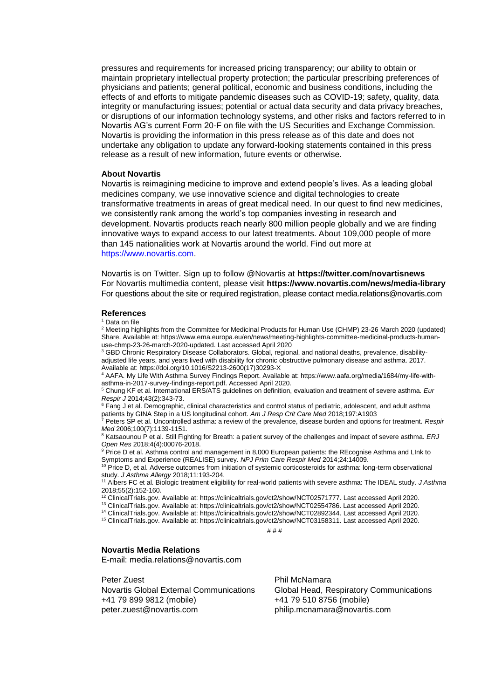pressures and requirements for increased pricing transparency; our ability to obtain or maintain proprietary intellectual property protection; the particular prescribing preferences of physicians and patients; general political, economic and business conditions, including the effects of and efforts to mitigate pandemic diseases such as COVID-19; safety, quality, data integrity or manufacturing issues; potential or actual data security and data privacy breaches, or disruptions of our information technology systems, and other risks and factors referred to in Novartis AG's current Form 20-F on file with the US Securities and Exchange Commission. Novartis is providing the information in this press release as of this date and does not undertake any obligation to update any forward-looking statements contained in this press release as a result of new information, future events or otherwise.

#### **About Novartis**

Novartis is reimagining medicine to improve and extend people's lives. As a leading global medicines company, we use innovative science and digital technologies to create transformative treatments in areas of great medical need. In our quest to find new medicines, we consistently rank among the world's top companies investing in research and development. Novartis products reach nearly 800 million people globally and we are finding innovative ways to expand access to our latest treatments. About 109,000 people of more than 145 nationalities work at Novartis around the world. Find out more at https://www.novartis.com.

Novartis is on Twitter. Sign up to follow @Novartis at **<https://twitter.com/novartisnews>** For Novartis multimedia content, please visit **https:/[/www.novartis.com/news/media-library](http://www.novartis.com/news/media-library)** For questions about the site or required registration, please contact [media.relations@novartis.com](mailto:media.relations@novartis.com)

#### **References**

<sup>1</sup> Data on file

<sup>2</sup> Meeting highlights from the Committee for Medicinal Products for Human Use (CHMP) 23-26 March 2020 (updated) Share. Available at[: https://www.ema.europa.eu/en/news/meeting-highlights-committee-medicinal-products-human](https://www.ema.europa.eu/en/news/meeting-highlights-committee-medicinal-products-human-use-chmp-23-26-march-2020-updated)[use-chmp-23-26-march-2020-updated.](https://www.ema.europa.eu/en/news/meeting-highlights-committee-medicinal-products-human-use-chmp-23-26-march-2020-updated) Last accessed April 2020

<sup>3</sup> GBD Chronic Respiratory Disease Collaborators. Global, regional, and national deaths, prevalence, disabilityadjusted life years, and years lived with disability for chronic obstructive pulmonary disease and asthma. 2017. Available at: https://doi.org/10.1016/S2213-2600(17)30293-X

<sup>4</sup> AAFA. My Life With Asthma Survey Findings Report. Available at: https://www.aafa.org/media/1684/my-life-withasthma-in-2017-survey-findings-report.pdf. Accessed April 2020.

<sup>5</sup> Chung KF et al. International ERS/ATS guidelines on definition, evaluation and treatment of severe asthma*. Eur Respir J* 2014;43(2):343-73.

<sup>6</sup> Fang J et al. Demographic, clinical characteristics and control status of pediatric, adolescent, and adult asthma patients by GINA Step in a US longitudinal cohort. *Am J Resp Crit Care Med* 2018;197:A1903

<sup>7</sup> Peters SP et al. Uncontrolled asthma: a review of the prevalence, disease burden and options for treatment. *Respir Med* 2006;100(7):1139-1151.

<sup>8</sup> Katsaounou P et al. Still Fighting for Breath: a patient survey of the challenges and impact of severe asthma. ERJ *Open Res* 2018;4(4):00076-2018.

9 Price D et al. Asthma control and management in 8,000 European patients: the REcognise Asthma and LInk to Symptoms and Experience (REALISE) survey. *NPJ Prim Care Respir Med* 2014;24:14009.

<sup>10</sup> Price D, et al. Adverse outcomes from initiation of systemic corticosteroids for asthma: long-term observational study. *J Asthma Allergy* 2018;11:193-204.

<sup>11</sup> Albers FC et al. Biologic treatment eligibility for real-world patients with severe asthma: The IDEAL study. *J Asthma* 2018;55(2):152-160.

<sup>12</sup> ClinicalTrials.gov. Available at[: https://clinicaltrials.gov/ct2/show/NCT02571777.](https://clinicaltrials.gov/ct2/show/NCT02571777) Last accessed April 2020.

<sup>13</sup> ClinicalTrials.gov. Available at: https://clinicaltrials.gov/ct2/show/NCT02554786. Last accessed April 2020.

<sup>14</sup> ClinicalTrials.gov. Available at[: https://clinicaltrials.gov/ct2/show/NCT02892344.](https://clinicaltrials.gov/ct2/show/NCT02892344) Last accessed April 2020.

<sup>15</sup> ClinicalTrials.gov. Available at[: https://clinicaltrials.gov/ct2/show/NCT03158311. Last accessed April 2020.](https://clinicaltrials.gov/ct2/show/NCT03158311.%20Last%20accessed%20April%202020)

# # #

#### **Novartis Media Relations**

E-mail: [media.relations@novartis.com](mailto:media.relations@novartis.com)

Peter Zuest Novartis Global External Communications +41 79 899 9812 (mobile) [peter.zuest@novartis.com](mailto:peter.zuest@novartis.com)

Phil McNamara Global Head, Respiratory Communications +41 79 510 8756 (mobile) [philip.mcnamara@novartis.com](mailto:philip.mcnamara@novartis.com)